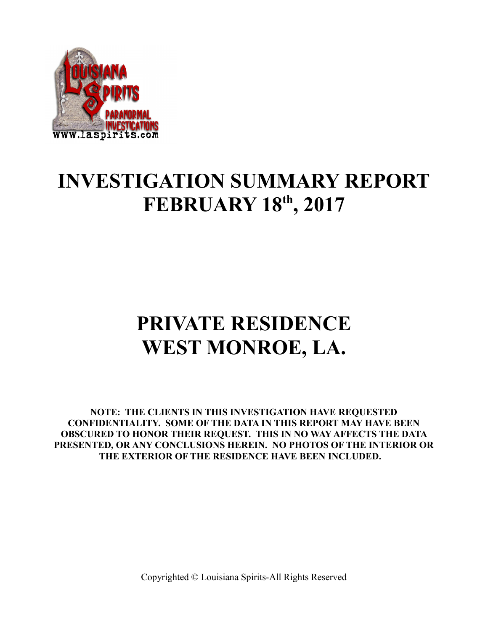

### **INVESTIGATION SUMMARY REPORT FEBRUARY 18th, 2017**

# **PRIVATE RESIDENCE WEST MONROE, LA.**

**NOTE: THE CLIENTS IN THIS INVESTIGATION HAVE REQUESTED CONFIDENTIALITY. SOME OF THE DATA IN THIS REPORT MAY HAVE BEEN OBSCURED TO HONOR THEIR REQUEST. THIS IN NO WAY AFFECTS THE DATA PRESENTED, OR ANY CONCLUSIONS HEREIN. NO PHOTOS OF THE INTERIOR OR THE EXTERIOR OF THE RESIDENCE HAVE BEEN INCLUDED.**

Copyrighted © Louisiana Spirits-All Rights Reserved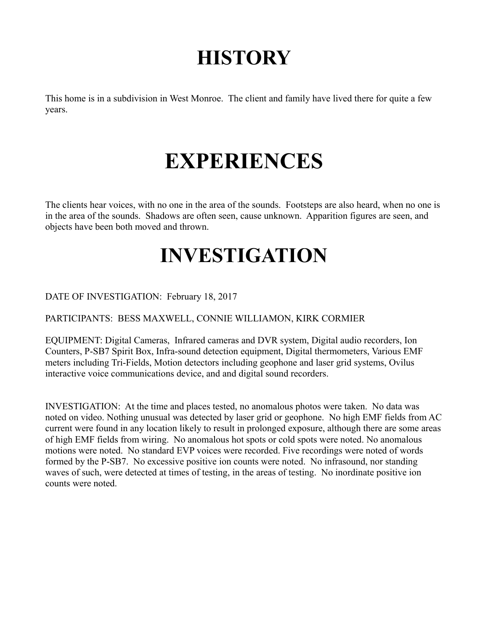# **HISTORY**

This home is in a subdivision in West Monroe. The client and family have lived there for quite a few years.

# **EXPERIENCES**

The clients hear voices, with no one in the area of the sounds. Footsteps are also heard, when no one is in the area of the sounds. Shadows are often seen, cause unknown. Apparition figures are seen, and objects have been both moved and thrown.

## **INVESTIGATION**

DATE OF INVESTIGATION: February 18, 2017

PARTICIPANTS: BESS MAXWELL, CONNIE WILLIAMON, KIRK CORMIER

EQUIPMENT: Digital Cameras, Infrared cameras and DVR system, Digital audio recorders, Ion Counters, P-SB7 Spirit Box, Infra-sound detection equipment, Digital thermometers, Various EMF meters including Tri-Fields, Motion detectors including geophone and laser grid systems, Ovilus interactive voice communications device, and and digital sound recorders.

INVESTIGATION: At the time and places tested, no anomalous photos were taken. No data was noted on video. Nothing unusual was detected by laser grid or geophone. No high EMF fields from AC current were found in any location likely to result in prolonged exposure, although there are some areas of high EMF fields from wiring. No anomalous hot spots or cold spots were noted. No anomalous motions were noted. No standard EVP voices were recorded. Five recordings were noted of words formed by the P-SB7. No excessive positive ion counts were noted. No infrasound, nor standing waves of such, were detected at times of testing, in the areas of testing. No inordinate positive ion counts were noted.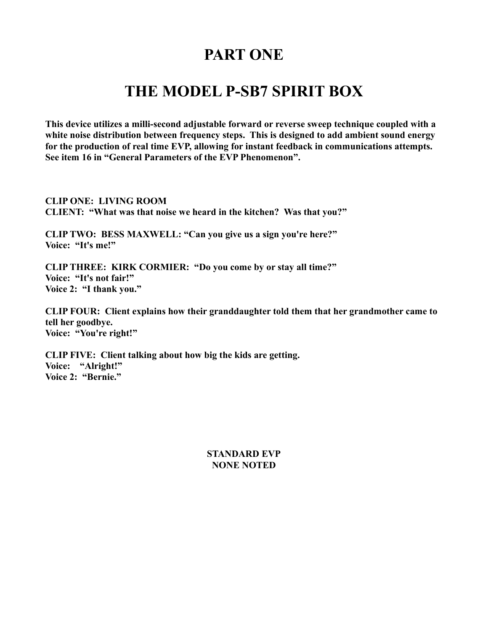#### **PART ONE**

#### **THE MODEL P-SB7 SPIRIT BOX**

**This device utilizes a milli-second adjustable forward or reverse sweep technique coupled with a white noise distribution between frequency steps. This is designed to add ambient sound energy for the production of real time EVP, allowing for instant feedback in communications attempts. See item 16 in "General Parameters of the EVP Phenomenon".** 

**CLIP ONE: LIVING ROOM CLIENT: "What was that noise we heard in the kitchen? Was that you?"**

**CLIP TWO: BESS MAXWELL: "Can you give us a sign you're here?" Voice: "It's me!"**

**CLIP THREE: KIRK CORMIER: "Do you come by or stay all time?" Voice: "It's not fair!" Voice 2: "I thank you."**

**CLIP FOUR: Client explains how their granddaughter told them that her grandmother came to tell her goodbye. Voice: "You're right!"**

**CLIP FIVE: Client talking about how big the kids are getting. Voice: "Alright!" Voice 2: "Bernie."**

#### **STANDARD EVP NONE NOTED**